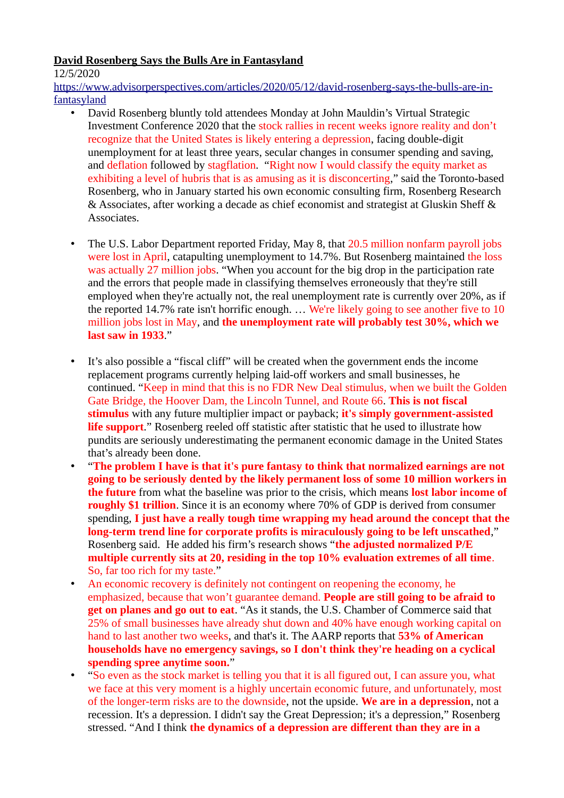## **David Rosenberg Says the Bulls Are in Fantasyland**

12/5/2020

[https://www.advisorperspectives.com/articles/2020/05/12/david-rosenberg-says-the-bulls-are-in](https://www.advisorperspectives.com/articles/2020/05/12/david-rosenberg-says-the-bulls-are-in-fantasyland)[fantasyland](https://www.advisorperspectives.com/articles/2020/05/12/david-rosenberg-says-the-bulls-are-in-fantasyland)

- David Rosenberg bluntly told attendees Monday at John Mauldin's Virtual Strategic Investment Conference 2020 that the stock rallies in recent weeks ignore reality and don't recognize that the United States is likely entering a depression, facing double-digit unemployment for at least three years, secular changes in consumer spending and saving, and deflation followed by stagflation. "Right now I would classify the equity market as exhibiting a level of hubris that is as amusing as it is disconcerting," said the Toronto-based Rosenberg, who in January started his own economic consulting firm, Rosenberg Research & Associates, after working a decade as chief economist and strategist at Gluskin Sheff & Associates.
- The U.S. Labor Department reported Friday, May 8, that 20.5 million nonfarm payroll jobs were lost in April, catapulting unemployment to 14.7%. But Rosenberg maintained the loss was actually 27 million jobs. "When you account for the big drop in the participation rate and the errors that people made in classifying themselves erroneously that they're still employed when they're actually not, the real unemployment rate is currently over 20%, as if the reported 14.7% rate isn't horrific enough. … We're likely going to see another five to 10 million jobs lost in May, and **the unemployment rate will probably test 30%, which we last saw in 1933**."
- It's also possible a "fiscal cliff" will be created when the government ends the income replacement programs currently helping laid-off workers and small businesses, he continued. "Keep in mind that this is no FDR New Deal stimulus, when we built the Golden Gate Bridge, the Hoover Dam, the Lincoln Tunnel, and Route 66. **This is not fiscal stimulus** with any future multiplier impact or payback; **it's simply government-assisted life support**." Rosenberg reeled off statistic after statistic that he used to illustrate how pundits are seriously underestimating the permanent economic damage in the United States that's already been done.
	- "**The problem I have is that it's pure fantasy to think that normalized earnings are not going to be seriously dented by the likely permanent loss of some 10 million workers in the future** from what the baseline was prior to the crisis, which means **lost labor income of roughly \$1 trillion**. Since it is an economy where 70% of GDP is derived from consumer spending, **I just have a really tough time wrapping my head around the concept that the long-term trend line for corporate profits is miraculously going to be left unscathed**," Rosenberg said. He added his firm's research shows "**the adjusted normalized P/E multiple currently sits at 20, residing in the top 10% evaluation extremes of all time**. So, far too rich for my taste."
- An economic recovery is definitely not contingent on reopening the economy, he emphasized, because that won't guarantee demand. **People are still going to be afraid to get on planes and go out to eat**. "As it stands, the U.S. Chamber of Commerce said that 25% of small businesses have already shut down and 40% have enough working capital on hand to last another two weeks, and that's it. The AARP reports that **53% of American households have no emergency savings, so I don't think they're heading on a cyclical spending spree anytime soon.**"
- "So even as the stock market is telling you that it is all figured out, I can assure you, what we face at this very moment is a highly uncertain economic future, and unfortunately, most of the longer-term risks are to the downside, not the upside. **We are in a depression**, not a recession. It's a depression. I didn't say the Great Depression; it's a depression," Rosenberg stressed. "And I think **the dynamics of a depression are different than they are in a**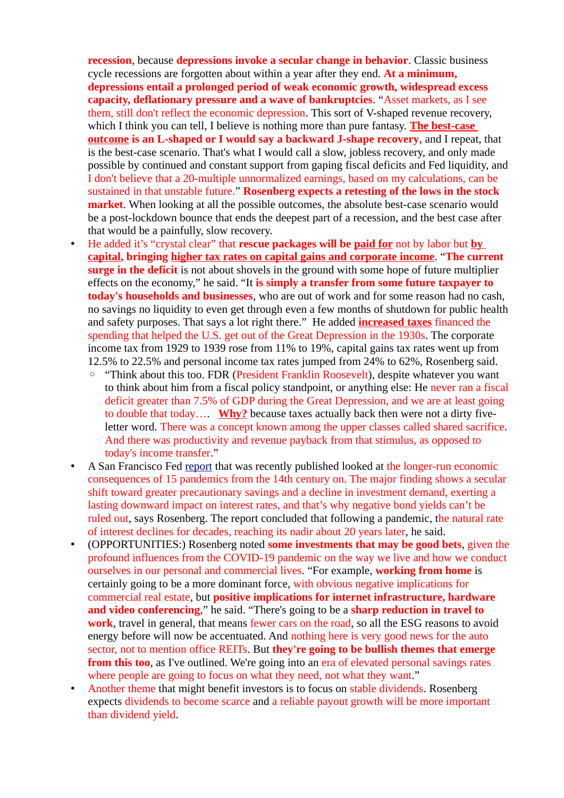**recession**, because **depressions invoke a secular change in behavior**. Classic business cycle recessions are forgotten about within a year after they end. **At a minimum, depressions entail a prolonged period of weak economic growth, widespread excess capacity, deflationary pressure and a wave of bankruptcies**. "Asset markets, as I see them, still don't reflect the economic depression. This sort of V-shaped revenue recovery, which I think you can tell, I believe is nothing more than pure fantasy. **The best-case outcome is an L-shaped or I would say a backward J-shape recovery**, and I repeat, that is the best-case scenario. That's what I would call a slow, jobless recovery, and only made possible by continued and constant support from gaping fiscal deficits and Fed liquidity, and I don't believe that a 20-multiple unnormalized earnings, based on my calculations, can be sustained in that unstable future." **Rosenberg expects a retesting of the lows in the stock market**. When looking at all the possible outcomes, the absolute best-case scenario would be a post-lockdown bounce that ends the deepest part of a recession, and the best case after that would be a painfully, slow recovery.

• He added it's "crystal clear" that **rescue packages will be paid for** not by labor but **by capital, bringing higher tax rates on capital gains and corporate income**. "**The current surge in the deficit** is not about shovels in the ground with some hope of future multiplier effects on the economy," he said. "It **is simply a transfer from some future taxpayer to today's households and businesses**, who are out of work and for some reason had no cash, no savings no liquidity to even get through even a few months of shutdown for public health and safety purposes. That says a lot right there." He added **increased taxes** financed the spending that helped the U.S. get out of the Great Depression in the 1930s. The corporate income tax from 1929 to 1939 rose from 11% to 19%, capital gains tax rates went up from 12.5% to 22.5% and personal income tax rates jumped from 24% to 62%, Rosenberg said.

- "Think about this too. FDR (President Franklin Roosevelt), despite whatever you want to think about him from a fiscal policy standpoint, or anything else: He never ran a fiscal deficit greater than 7.5% of GDP during the Great Depression, and we are at least going to double that today…. **Why?** because taxes actually back then were not a dirty fiveletter word. There was a concept known among the upper classes called shared sacrifice. And there was productivity and revenue payback from that stimulus, as opposed to today's income transfer."
- A San Francisco Fed [report](https://www.frbsf.org/economic-research/files/wp2020-09.pdf) that was recently published looked at the longer-run economic consequences of 15 pandemics from the 14th century on. The major finding shows a secular shift toward greater precautionary savings and a decline in investment demand, exerting a lasting downward impact on interest rates, and that's why negative bond yields can't be ruled out, says Rosenberg. The report concluded that following a pandemic, the natural rate of interest declines for decades, reaching its nadir about 20 years later, he said.
- (OPPORTUNITIES:) Rosenberg noted **some investments that may be good bets**, given the profound influences from the COVID-19 pandemic on the way we live and how we conduct ourselves in our personal and commercial lives. "For example, **working from home** is certainly going to be a more dominant force, with obvious negative implications for commercial real estate, but **positive implications for internet infrastructure, hardware and video conferencing**," he said. "There's going to be a **sharp reduction in travel to work**, travel in general, that means fewer cars on the road, so all the ESG reasons to avoid energy before will now be accentuated. And nothing here is very good news for the auto sector, not to mention office REITs. But **they're going to be bullish themes that emerge from this too**, as I've outlined. We're going into an era of elevated personal savings rates where people are going to focus on what they need, not what they want."
- Another theme that might benefit investors is to focus on stable dividends. Rosenberg expects dividends to become scarce and a reliable payout growth will be more important than dividend yield.